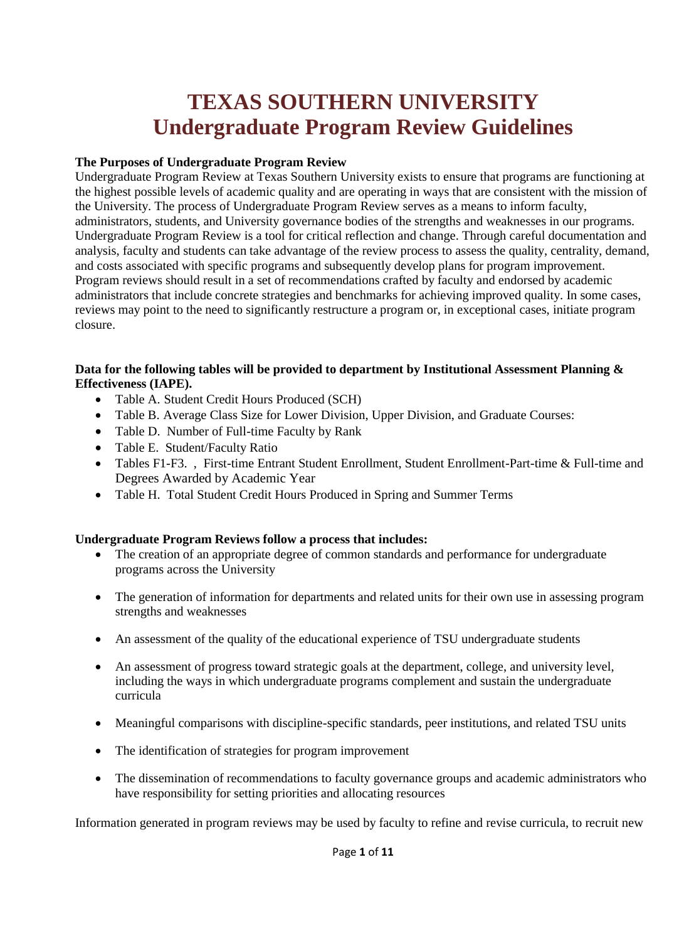# **TEXAS SOUTHERN UNIVERSITY Undergraduate Program Review Guidelines**

## **The Purposes of Undergraduate Program Review**

Undergraduate Program Review at Texas Southern University exists to ensure that programs are functioning at the highest possible levels of academic quality and are operating in ways that are consistent with the mission of the University. The process of Undergraduate Program Review serves as a means to inform faculty, administrators, students, and University governance bodies of the strengths and weaknesses in our programs. Undergraduate Program Review is a tool for critical reflection and change. Through careful documentation and analysis, faculty and students can take advantage of the review process to assess the quality, centrality, demand, and costs associated with specific programs and subsequently develop plans for program improvement. Program reviews should result in a set of recommendations crafted by faculty and endorsed by academic administrators that include concrete strategies and benchmarks for achieving improved quality. In some cases, reviews may point to the need to significantly restructure a program or, in exceptional cases, initiate program closure.

## **Data for the following tables will be provided to department by Institutional Assessment Planning & Effectiveness (IAPE).**

- Table A. Student Credit Hours Produced (SCH)
- Table B. Average Class Size for Lower Division, Upper Division, and Graduate Courses:
- Table D. Number of Full-time Faculty by Rank
- Table E. Student/Faculty Ratio
- Tables F1-F3. , First-time Entrant Student Enrollment, Student Enrollment-Part-time & Full-time and Degrees Awarded by Academic Year
- Table H. Total Student Credit Hours Produced in Spring and Summer Terms

## **Undergraduate Program Reviews follow a process that includes:**

- The creation of an appropriate degree of common standards and performance for undergraduate programs across the University
- The generation of information for departments and related units for their own use in assessing program strengths and weaknesses
- An assessment of the quality of the educational experience of TSU undergraduate students
- An assessment of progress toward strategic goals at the department, college, and university level, including the ways in which undergraduate programs complement and sustain the undergraduate curricula
- Meaningful comparisons with discipline-specific standards, peer institutions, and related TSU units
- The identification of strategies for program improvement
- The dissemination of recommendations to faculty governance groups and academic administrators who have responsibility for setting priorities and allocating resources

Information generated in program reviews may be used by faculty to refine and revise curricula, to recruit new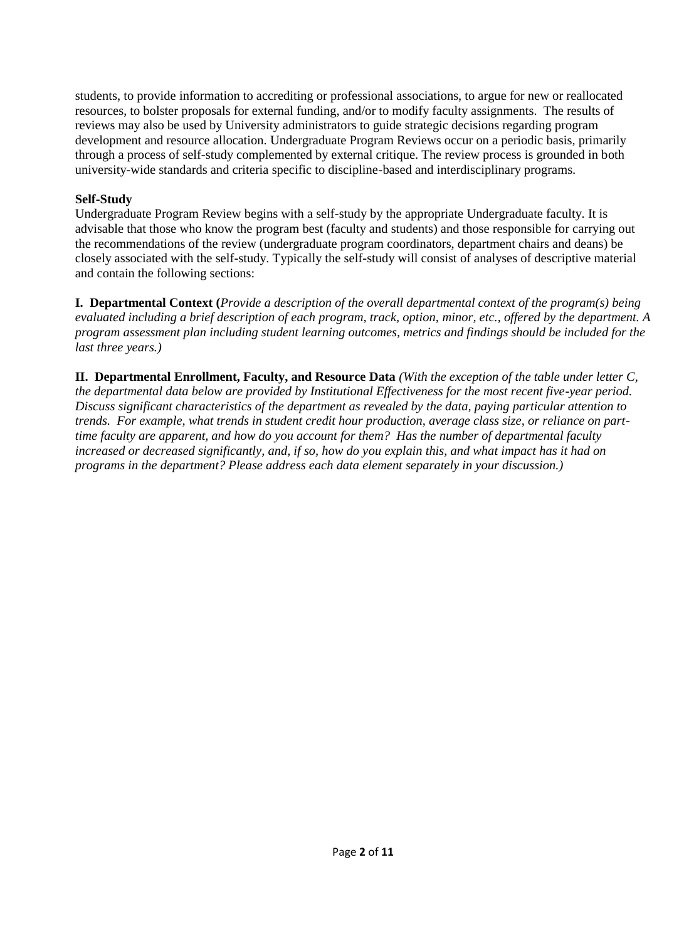students, to provide information to accrediting or professional associations, to argue for new or reallocated resources, to bolster proposals for external funding, and/or to modify faculty assignments. The results of reviews may also be used by University administrators to guide strategic decisions regarding program development and resource allocation. Undergraduate Program Reviews occur on a periodic basis, primarily through a process of self-study complemented by external critique. The review process is grounded in both university-wide standards and criteria specific to discipline-based and interdisciplinary programs.

## **Self-Study**

Undergraduate Program Review begins with a self-study by the appropriate Undergraduate faculty. It is advisable that those who know the program best (faculty and students) and those responsible for carrying out the recommendations of the review (undergraduate program coordinators, department chairs and deans) be closely associated with the self-study. Typically the self-study will consist of analyses of descriptive material and contain the following sections:

**I. Departmental Context (***Provide a description of the overall departmental context of the program(s) being evaluated including a brief description of each program, track, option, minor, etc., offered by the department. A program assessment plan including student learning outcomes, metrics and findings should be included for the last three years.)* 

**II. Departmental Enrollment, Faculty, and Resource Data** *(With the exception of the table under letter C, the departmental data below are provided by Institutional Effectiveness for the most recent five-year period. Discuss significant characteristics of the department as revealed by the data, paying particular attention to trends. For example, what trends in student credit hour production, average class size, or reliance on parttime faculty are apparent, and how do you account for them? Has the number of departmental faculty increased or decreased significantly, and, if so, how do you explain this, and what impact has it had on programs in the department? Please address each data element separately in your discussion.)*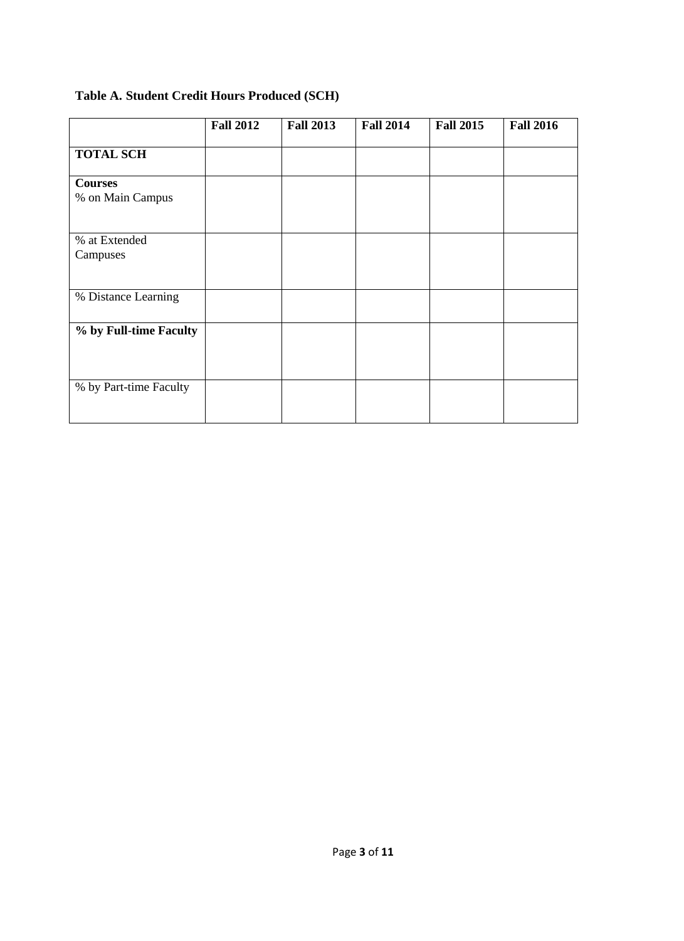# **Table A. Student Credit Hours Produced (SCH)**

|                                    | <b>Fall 2012</b> | <b>Fall 2013</b> | <b>Fall 2014</b> | <b>Fall 2015</b> | <b>Fall 2016</b> |
|------------------------------------|------------------|------------------|------------------|------------------|------------------|
| <b>TOTAL SCH</b>                   |                  |                  |                  |                  |                  |
| <b>Courses</b><br>% on Main Campus |                  |                  |                  |                  |                  |
| % at Extended<br>Campuses          |                  |                  |                  |                  |                  |
| % Distance Learning                |                  |                  |                  |                  |                  |
| % by Full-time Faculty             |                  |                  |                  |                  |                  |
| % by Part-time Faculty             |                  |                  |                  |                  |                  |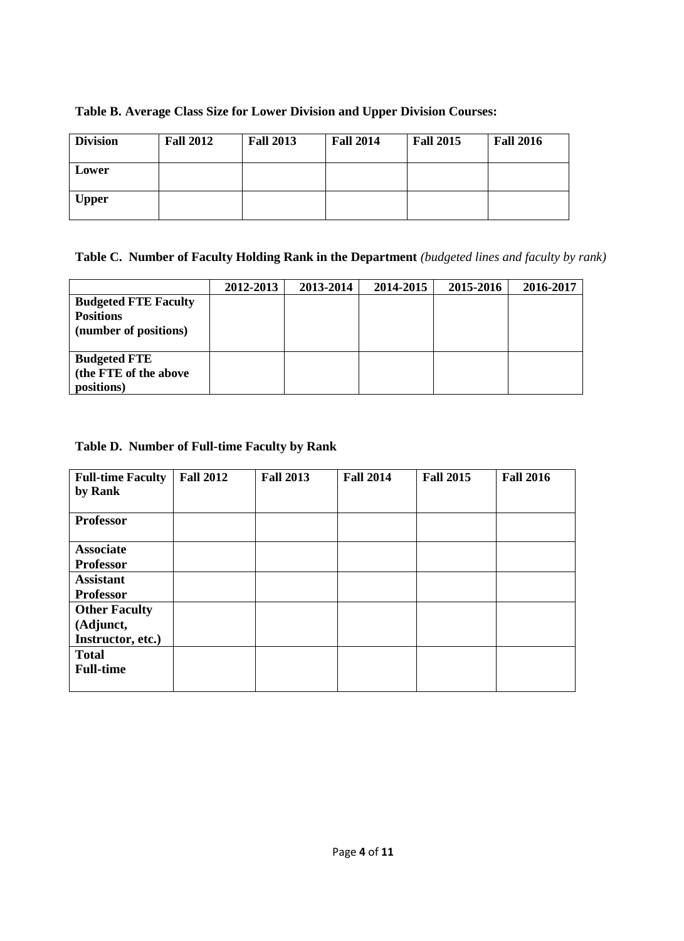| <b>Division</b> | <b>Fall 2012</b> | <b>Fall 2013</b> | <b>Fall 2014</b> | <b>Fall 2015</b> | <b>Fall 2016</b> |
|-----------------|------------------|------------------|------------------|------------------|------------------|
| Lower           |                  |                  |                  |                  |                  |
| <b>Upper</b>    |                  |                  |                  |                  |                  |

# **Table B. Average Class Size for Lower Division and Upper Division Courses:**

**Table C. Number of Faculty Holding Rank in the Department** *(budgeted lines and faculty by rank)* 

|                                                                          | 2012-2013 | 2013-2014 | 2014-2015 | 2015-2016 | 2016-2017 |
|--------------------------------------------------------------------------|-----------|-----------|-----------|-----------|-----------|
| <b>Budgeted FTE Faculty</b><br><b>Positions</b><br>(number of positions) |           |           |           |           |           |
| <b>Budgeted FTE</b><br>(the FTE of the above<br>positions)               |           |           |           |           |           |

## **Table D. Number of Full-time Faculty by Rank**

| <b>Full-time Faculty</b> | <b>Fall 2012</b> | <b>Fall 2013</b> | <b>Fall 2014</b> | <b>Fall 2015</b> | <b>Fall 2016</b> |
|--------------------------|------------------|------------------|------------------|------------------|------------------|
| by Rank                  |                  |                  |                  |                  |                  |
|                          |                  |                  |                  |                  |                  |
| <b>Professor</b>         |                  |                  |                  |                  |                  |
|                          |                  |                  |                  |                  |                  |
| <b>Associate</b>         |                  |                  |                  |                  |                  |
| <b>Professor</b>         |                  |                  |                  |                  |                  |
| <b>Assistant</b>         |                  |                  |                  |                  |                  |
| <b>Professor</b>         |                  |                  |                  |                  |                  |
| <b>Other Faculty</b>     |                  |                  |                  |                  |                  |
| (Adjunct,                |                  |                  |                  |                  |                  |
| Instructor, etc.)        |                  |                  |                  |                  |                  |
| <b>Total</b>             |                  |                  |                  |                  |                  |
| <b>Full-time</b>         |                  |                  |                  |                  |                  |
|                          |                  |                  |                  |                  |                  |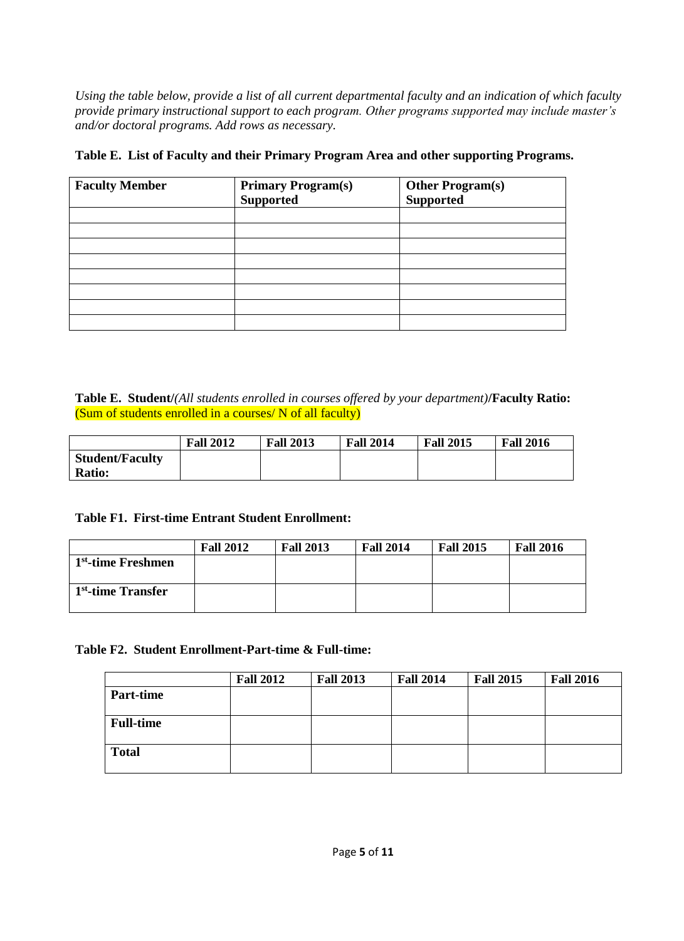*Using the table below, provide a list of all current departmental faculty and an indication of which faculty provide primary instructional support to each program. Other programs supported may include master's and/or doctoral programs. Add rows as necessary.*

| <b>Faculty Member</b> | <b>Primary Program(s)</b><br><b>Supported</b> | <b>Other Program(s)</b><br><b>Supported</b> |
|-----------------------|-----------------------------------------------|---------------------------------------------|
|                       |                                               |                                             |
|                       |                                               |                                             |
|                       |                                               |                                             |
|                       |                                               |                                             |
|                       |                                               |                                             |
|                       |                                               |                                             |
|                       |                                               |                                             |

## **Table E. List of Faculty and their Primary Program Area and other supporting Programs.**

**Table E. Student/***(All students enrolled in courses offered by your department)***/Faculty Ratio:**  (Sum of students enrolled in a courses/ N of all faculty)

|                        | <b>Fall 2012</b> | <b>Fall 2013</b> | <b>Fall 2014</b> | <b>Fall 2015</b> | <b>Fall 2016</b> |
|------------------------|------------------|------------------|------------------|------------------|------------------|
| <b>Student/Faculty</b> |                  |                  |                  |                  |                  |
| <b>Ratio:</b>          |                  |                  |                  |                  |                  |

## **Table F1. First-time Entrant Student Enrollment:**

|                                | <b>Fall 2012</b> | <b>Fall 2013</b> | <b>Fall 2014</b> | <b>Fall 2015</b> | <b>Fall 2016</b> |
|--------------------------------|------------------|------------------|------------------|------------------|------------------|
| 1 <sup>st</sup> -time Freshmen |                  |                  |                  |                  |                  |
|                                |                  |                  |                  |                  |                  |
| 1 <sup>st</sup> -time Transfer |                  |                  |                  |                  |                  |
|                                |                  |                  |                  |                  |                  |

## **Table F2. Student Enrollment-Part-time & Full-time:**

|                  | <b>Fall 2012</b> | <b>Fall 2013</b> | <b>Fall 2014</b> | <b>Fall 2015</b> | <b>Fall 2016</b> |
|------------------|------------------|------------------|------------------|------------------|------------------|
| <b>Part-time</b> |                  |                  |                  |                  |                  |
| <b>Full-time</b> |                  |                  |                  |                  |                  |
| <b>Total</b>     |                  |                  |                  |                  |                  |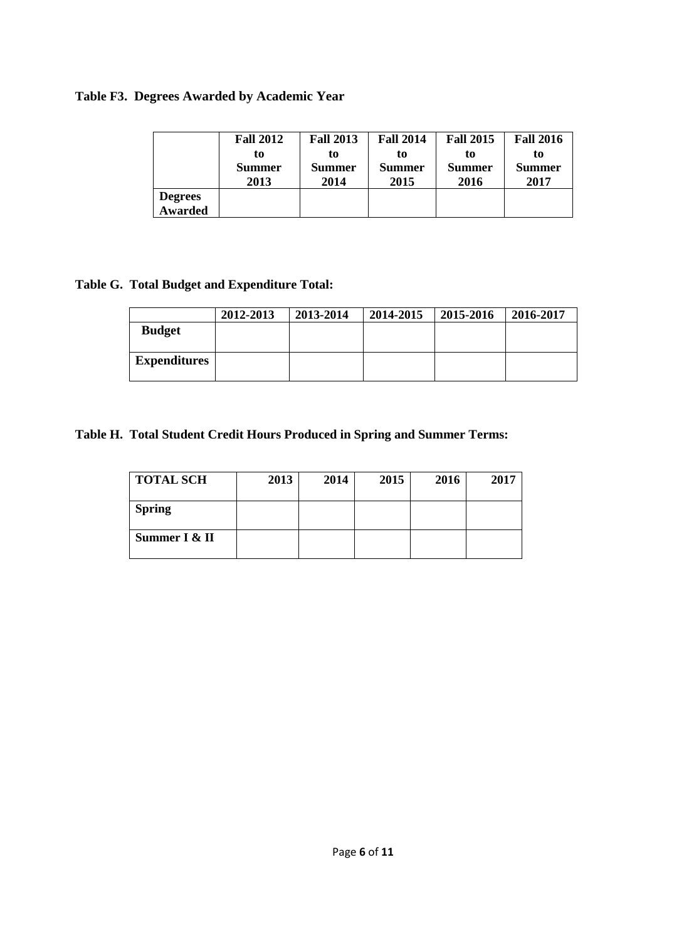# **Table F3. Degrees Awarded by Academic Year**

|                           | <b>Fall 2012</b> | <b>Fall 2013</b> | <b>Fall 2014</b> | <b>Fall 2015</b> | <b>Fall 2016</b> |
|---------------------------|------------------|------------------|------------------|------------------|------------------|
|                           | to               | to               | to               | to               | ŧо               |
|                           | Summer           | Summer           | Summer           | <b>Summer</b>    | Summer           |
|                           | 2013             | 2014             | 2015             | 2016             | 2017             |
| <b>Degrees</b><br>Awarded |                  |                  |                  |                  |                  |

# **Table G. Total Budget and Expenditure Total:**

|                     | 2012-2013 | 2013-2014 | 2014-2015 | 2015-2016 | 2016-2017 |
|---------------------|-----------|-----------|-----------|-----------|-----------|
| <b>Budget</b>       |           |           |           |           |           |
|                     |           |           |           |           |           |
| <b>Expenditures</b> |           |           |           |           |           |
|                     |           |           |           |           |           |

# **Table H. Total Student Credit Hours Produced in Spring and Summer Terms:**

| <b>TOTAL SCH</b> | 2013 | 2014 | 2015 | 2016 | 2017 |
|------------------|------|------|------|------|------|
| <b>Spring</b>    |      |      |      |      |      |
| Summer I & II    |      |      |      |      |      |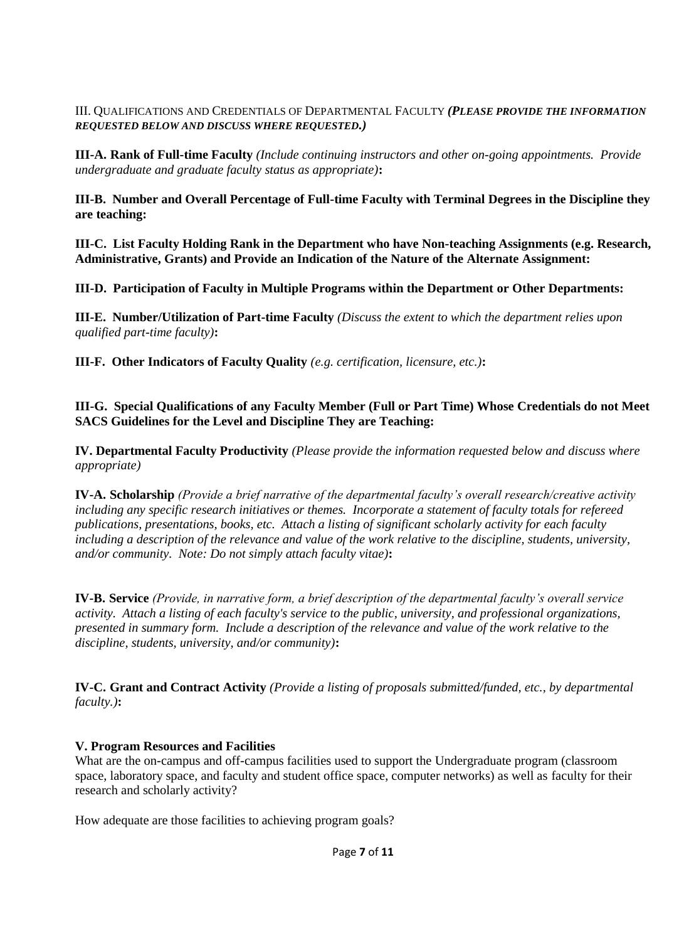III. QUALIFICATIONS AND CREDENTIALS OF DEPARTMENTAL FACULTY *(PLEASE PROVIDE THE INFORMATION REQUESTED BELOW AND DISCUSS WHERE REQUESTED.)* 

**III-A. Rank of Full-time Faculty** *(Include continuing instructors and other on-going appointments. Provide undergraduate and graduate faculty status as appropriate)***:**

**III-B. Number and Overall Percentage of Full-time Faculty with Terminal Degrees in the Discipline they are teaching:** 

**III-C. List Faculty Holding Rank in the Department who have Non-teaching Assignments (e.g. Research, Administrative, Grants) and Provide an Indication of the Nature of the Alternate Assignment:** 

**III-D. Participation of Faculty in Multiple Programs within the Department or Other Departments:** 

**III-E. Number/Utilization of Part-time Faculty** *(Discuss the extent to which the department relies upon qualified part-time faculty)***:** 

**III-F. Other Indicators of Faculty Quality** *(e.g. certification, licensure, etc.)***:** 

**III-G. Special Qualifications of any Faculty Member (Full or Part Time) Whose Credentials do not Meet SACS Guidelines for the Level and Discipline They are Teaching:** 

**IV. Departmental Faculty Productivity** *(Please provide the information requested below and discuss where appropriate)*

**IV-A. Scholarship** *(Provide a brief narrative of the departmental faculty's overall research/creative activity including any specific research initiatives or themes. Incorporate a statement of faculty totals for refereed publications, presentations, books, etc. Attach a listing of significant scholarly activity for each faculty including a description of the relevance and value of the work relative to the discipline, students, university, and/or community. Note: Do not simply attach faculty vitae)***:** 

**IV-B. Service** *(Provide, in narrative form, a brief description of the departmental faculty's overall service activity. Attach a listing of each faculty's service to the public, university, and professional organizations, presented in summary form. Include a description of the relevance and value of the work relative to the discipline, students, university, and/or community)***:**

**IV-C. Grant and Contract Activity** *(Provide a listing of proposals submitted/funded, etc., by departmental faculty.)***:** 

## **V. Program Resources and Facilities**

What are the on-campus and off-campus facilities used to support the Undergraduate program (classroom space, laboratory space, and faculty and student office space, computer networks) as well as faculty for their research and scholarly activity?

How adequate are those facilities to achieving program goals?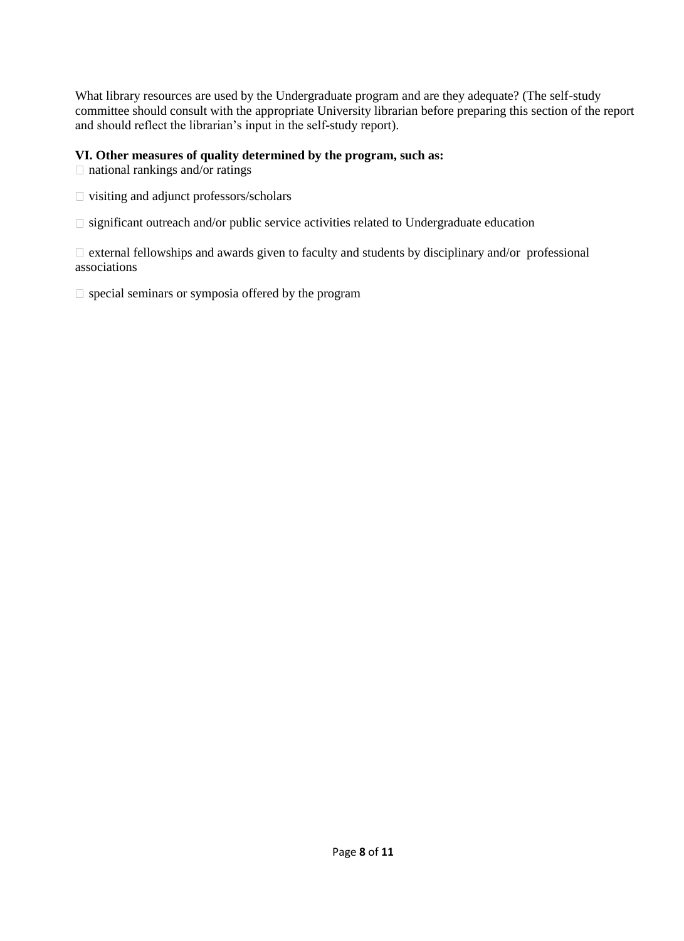What library resources are used by the Undergraduate program and are they adequate? (The self-study committee should consult with the appropriate University librarian before preparing this section of the report and should reflect the librarian's input in the self-study report).

## **VI. Other measures of quality determined by the program, such as:**

 $\Box$  national rankings and/or ratings

- visiting and adjunct professors/scholars
- $\square$  significant outreach and/or public service activities related to Undergraduate education

 $\Box$  external fellowships and awards given to faculty and students by disciplinary and/or professional associations

 $\square$  special seminars or symposia offered by the program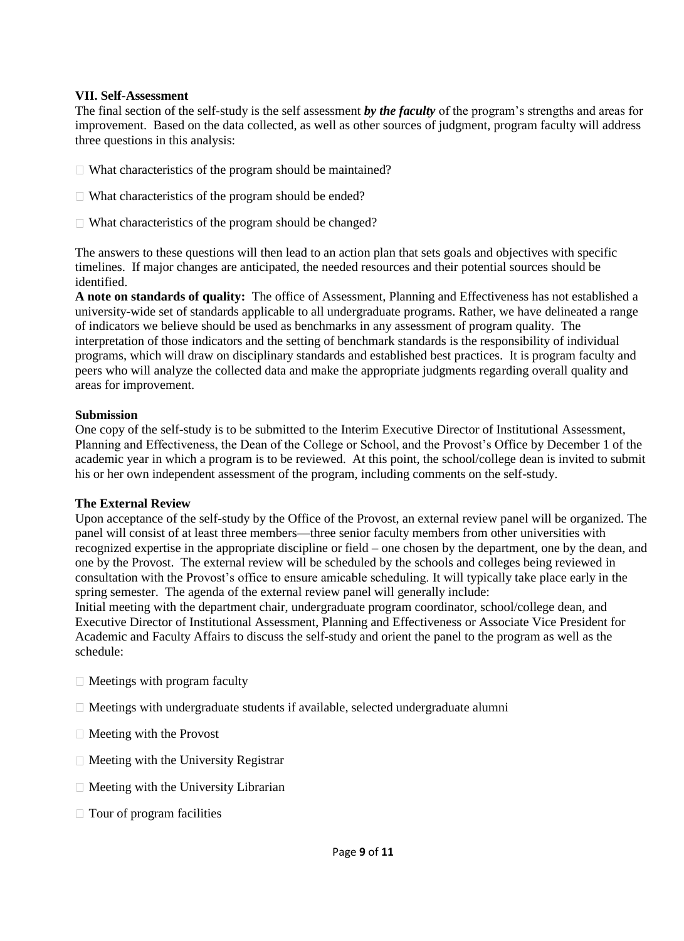#### **VII. Self-Assessment**

The final section of the self-study is the self assessment *by the faculty* of the program's strengths and areas for improvement. Based on the data collected, as well as other sources of judgment, program faculty will address three questions in this analysis:

- $\Box$  What characteristics of the program should be maintained?
- $\Box$  What characteristics of the program should be ended?
- $\Box$  What characteristics of the program should be changed?

The answers to these questions will then lead to an action plan that sets goals and objectives with specific timelines. If major changes are anticipated, the needed resources and their potential sources should be identified.

**A note on standards of quality:** The office of Assessment, Planning and Effectiveness has not established a university-wide set of standards applicable to all undergraduate programs. Rather, we have delineated a range of indicators we believe should be used as benchmarks in any assessment of program quality. The interpretation of those indicators and the setting of benchmark standards is the responsibility of individual programs, which will draw on disciplinary standards and established best practices. It is program faculty and peers who will analyze the collected data and make the appropriate judgments regarding overall quality and areas for improvement.

#### **Submission**

One copy of the self-study is to be submitted to the Interim Executive Director of Institutional Assessment, Planning and Effectiveness, the Dean of the College or School, and the Provost's Office by December 1 of the academic year in which a program is to be reviewed. At this point, the school/college dean is invited to submit his or her own independent assessment of the program, including comments on the self-study.

## **The External Review**

Upon acceptance of the self-study by the Office of the Provost, an external review panel will be organized. The panel will consist of at least three members—three senior faculty members from other universities with recognized expertise in the appropriate discipline or field – one chosen by the department, one by the dean, and one by the Provost. The external review will be scheduled by the schools and colleges being reviewed in consultation with the Provost's office to ensure amicable scheduling. It will typically take place early in the spring semester. The agenda of the external review panel will generally include:

Initial meeting with the department chair, undergraduate program coordinator, school/college dean, and Executive Director of Institutional Assessment, Planning and Effectiveness or Associate Vice President for Academic and Faculty Affairs to discuss the self-study and orient the panel to the program as well as the schedule:

- $\Box$  Meetings with program faculty
- $\Box$  Meetings with undergraduate students if available, selected undergraduate alumni
- $\Box$  Meeting with the Provost
- $\Box$  Meeting with the University Registrar
- $\Box$  Meeting with the University Librarian
- $\Box$  Tour of program facilities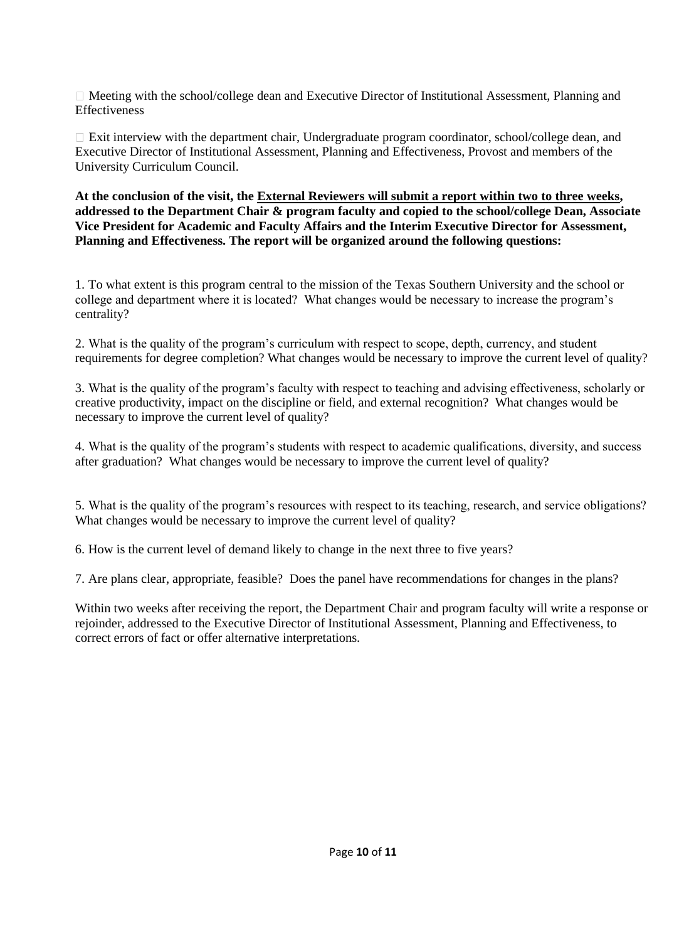Meeting with the school/college dean and Executive Director of Institutional Assessment, Planning and **Effectiveness** 

Exit interview with the department chair, Undergraduate program coordinator, school/college dean, and Executive Director of Institutional Assessment, Planning and Effectiveness, Provost and members of the University Curriculum Council.

**At the conclusion of the visit, the External Reviewers will submit a report within two to three weeks, addressed to the Department Chair & program faculty and copied to the school/college Dean, Associate Vice President for Academic and Faculty Affairs and the Interim Executive Director for Assessment, Planning and Effectiveness. The report will be organized around the following questions:** 

1. To what extent is this program central to the mission of the Texas Southern University and the school or college and department where it is located? What changes would be necessary to increase the program's centrality?

2. What is the quality of the program's curriculum with respect to scope, depth, currency, and student requirements for degree completion? What changes would be necessary to improve the current level of quality?

3. What is the quality of the program's faculty with respect to teaching and advising effectiveness, scholarly or creative productivity, impact on the discipline or field, and external recognition? What changes would be necessary to improve the current level of quality?

4. What is the quality of the program's students with respect to academic qualifications, diversity, and success after graduation? What changes would be necessary to improve the current level of quality?

5. What is the quality of the program's resources with respect to its teaching, research, and service obligations? What changes would be necessary to improve the current level of quality?

6. How is the current level of demand likely to change in the next three to five years?

7. Are plans clear, appropriate, feasible? Does the panel have recommendations for changes in the plans?

Within two weeks after receiving the report, the Department Chair and program faculty will write a response or rejoinder, addressed to the Executive Director of Institutional Assessment, Planning and Effectiveness, to correct errors of fact or offer alternative interpretations.